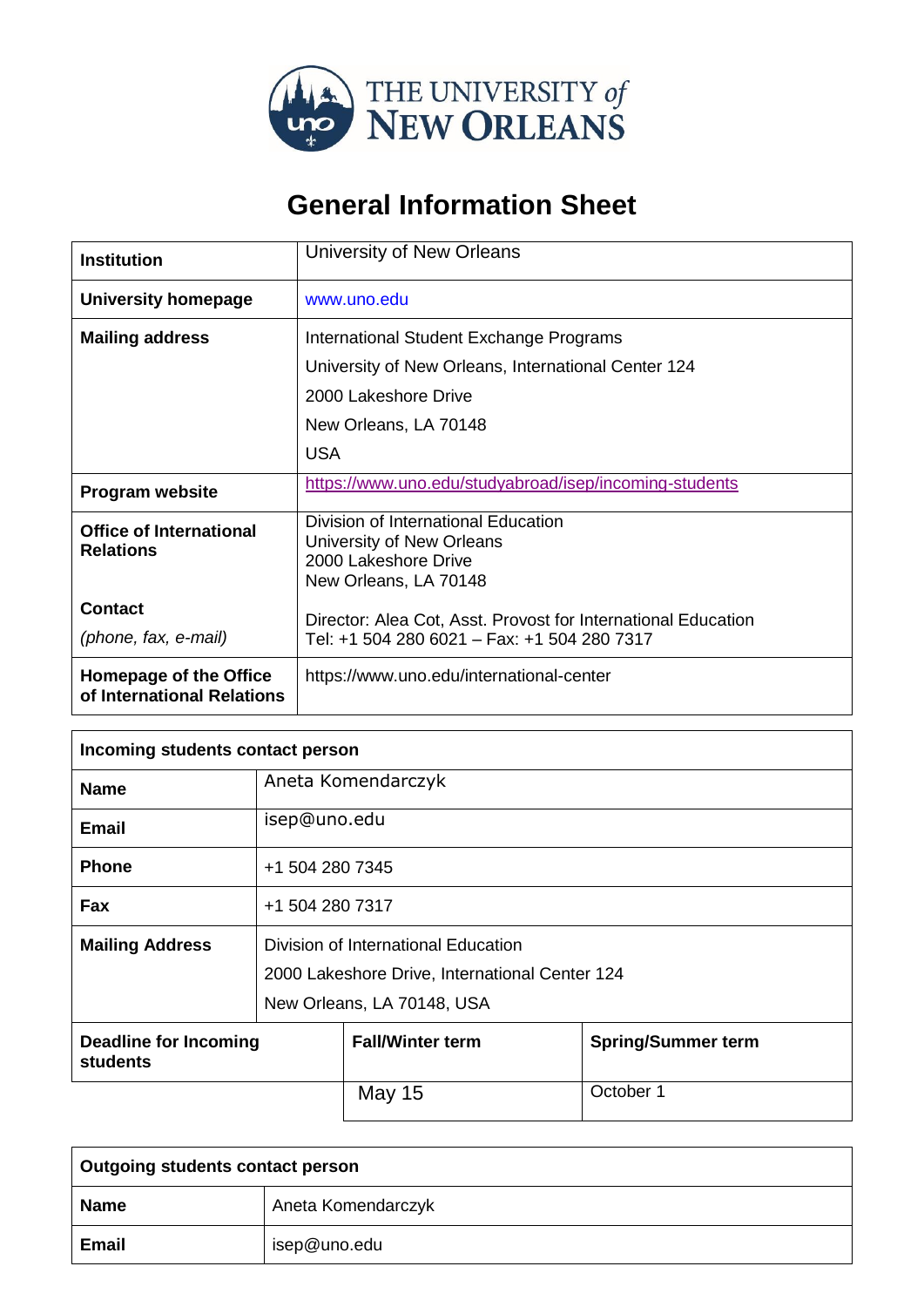

## **General Information Sheet**

| <b>Institution</b>                                          | University of New Orleans                                                                                         |
|-------------------------------------------------------------|-------------------------------------------------------------------------------------------------------------------|
| University homepage                                         | www.uno.edu                                                                                                       |
| <b>Mailing address</b>                                      | International Student Exchange Programs                                                                           |
|                                                             | University of New Orleans, International Center 124                                                               |
|                                                             | 2000 Lakeshore Drive                                                                                              |
|                                                             | New Orleans, LA 70148                                                                                             |
|                                                             | <b>USA</b>                                                                                                        |
| <b>Program website</b>                                      | https://www.uno.edu/studyabroad/isep/incoming-students                                                            |
| <b>Office of International</b><br><b>Relations</b>          | Division of International Education<br>University of New Orleans<br>2000 Lakeshore Drive<br>New Orleans, LA 70148 |
| <b>Contact</b>                                              | Director: Alea Cot, Asst. Provost for International Education                                                     |
| (phone, fax, e-mail)                                        | Tel: +1 504 280 6021 - Fax: +1 504 280 7317                                                                       |
| <b>Homepage of the Office</b><br>of International Relations | https://www.uno.edu/international-center                                                                          |

| Incoming students contact person                |                                                                                                                     |                         |                           |
|-------------------------------------------------|---------------------------------------------------------------------------------------------------------------------|-------------------------|---------------------------|
| <b>Name</b>                                     |                                                                                                                     | Aneta Komendarczyk      |                           |
| <b>Email</b>                                    | isep@uno.edu                                                                                                        |                         |                           |
| <b>Phone</b>                                    | +1 504 280 7345                                                                                                     |                         |                           |
| Fax                                             | +1 504 280 7317                                                                                                     |                         |                           |
| <b>Mailing Address</b>                          | Division of International Education<br>2000 Lakeshore Drive, International Center 124<br>New Orleans, LA 70148, USA |                         |                           |
| <b>Deadline for Incoming</b><br><b>students</b> |                                                                                                                     | <b>Fall/Winter term</b> | <b>Spring/Summer term</b> |
|                                                 |                                                                                                                     | May 15                  | October 1                 |

| Outgoing students contact person |                    |  |
|----------------------------------|--------------------|--|
| <b>Name</b>                      | Aneta Komendarczyk |  |
| <b>Email</b>                     | isep@uno.edu       |  |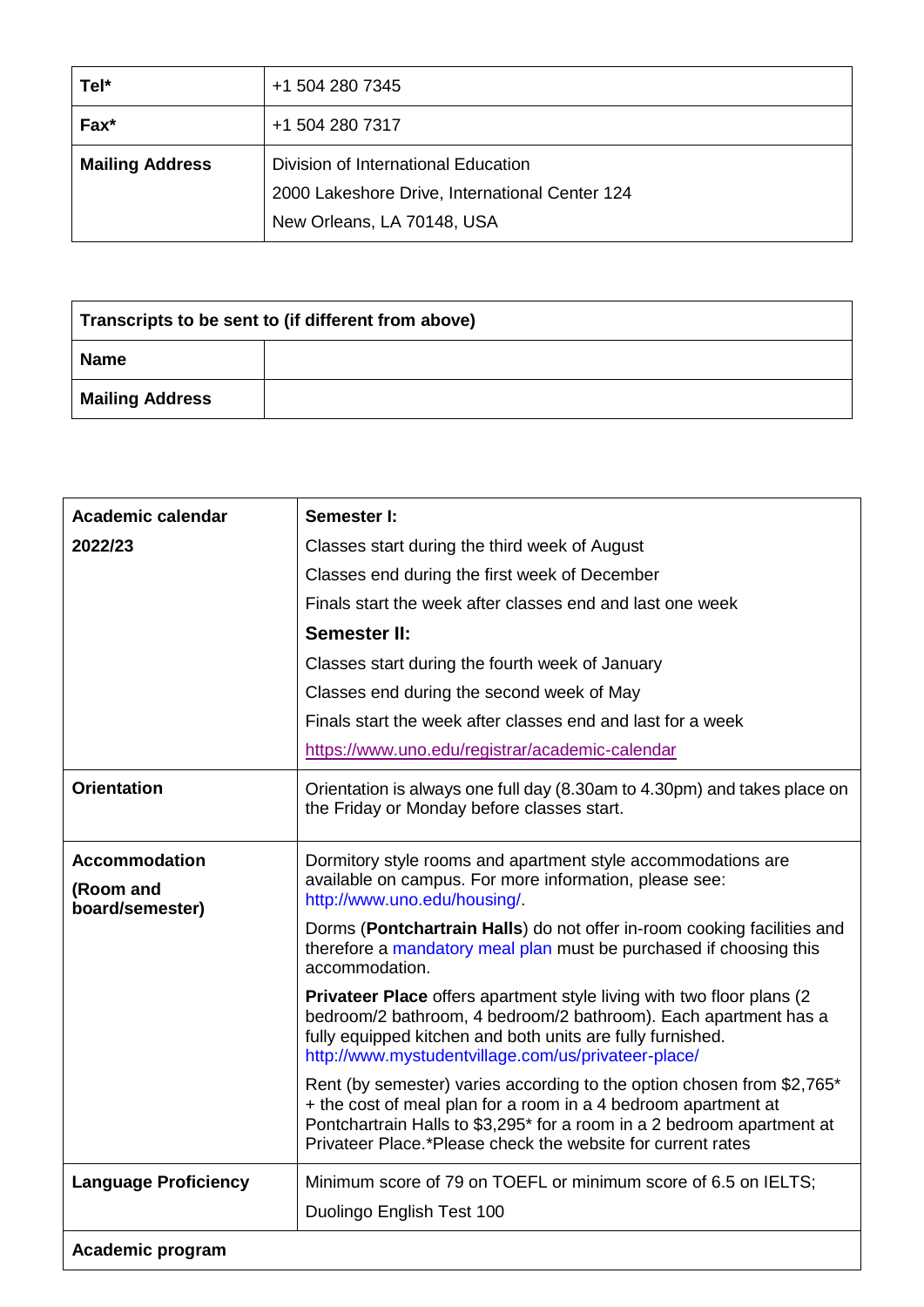| Tel*                   | +1 504 280 7345                                                                                                     |
|------------------------|---------------------------------------------------------------------------------------------------------------------|
| $Fax^*$                | +1 504 280 7317                                                                                                     |
| <b>Mailing Address</b> | Division of International Education<br>2000 Lakeshore Drive, International Center 124<br>New Orleans, LA 70148, USA |

| Transcripts to be sent to (if different from above) |  |
|-----------------------------------------------------|--|
| <b>Name</b>                                         |  |
| <b>Mailing Address</b>                              |  |

| <b>Academic calendar</b>                             | Semester I:                                                                                                                                                                                                                                                                       |
|------------------------------------------------------|-----------------------------------------------------------------------------------------------------------------------------------------------------------------------------------------------------------------------------------------------------------------------------------|
| 2022/23                                              | Classes start during the third week of August                                                                                                                                                                                                                                     |
|                                                      | Classes end during the first week of December                                                                                                                                                                                                                                     |
|                                                      | Finals start the week after classes end and last one week                                                                                                                                                                                                                         |
|                                                      | <b>Semester II:</b>                                                                                                                                                                                                                                                               |
|                                                      | Classes start during the fourth week of January                                                                                                                                                                                                                                   |
|                                                      | Classes end during the second week of May                                                                                                                                                                                                                                         |
|                                                      | Finals start the week after classes end and last for a week                                                                                                                                                                                                                       |
|                                                      | https://www.uno.edu/registrar/academic-calendar                                                                                                                                                                                                                                   |
| <b>Orientation</b>                                   | Orientation is always one full day (8.30am to 4.30pm) and takes place on<br>the Friday or Monday before classes start.                                                                                                                                                            |
| <b>Accommodation</b><br>(Room and<br>board/semester) | Dormitory style rooms and apartment style accommodations are<br>available on campus. For more information, please see:<br>http://www.uno.edu/housing/.                                                                                                                            |
|                                                      | Dorms (Pontchartrain Halls) do not offer in-room cooking facilities and<br>therefore a mandatory meal plan must be purchased if choosing this<br>accommodation.                                                                                                                   |
|                                                      | Privateer Place offers apartment style living with two floor plans (2)<br>bedroom/2 bathroom, 4 bedroom/2 bathroom). Each apartment has a<br>fully equipped kitchen and both units are fully furnished.<br>http://www.mystudentvillage.com/us/privateer-place/                    |
|                                                      | Rent (by semester) varies according to the option chosen from \$2,765*<br>+ the cost of meal plan for a room in a 4 bedroom apartment at<br>Pontchartrain Halls to \$3,295* for a room in a 2 bedroom apartment at<br>Privateer Place.*Please check the website for current rates |
| <b>Language Proficiency</b>                          | Minimum score of 79 on TOEFL or minimum score of 6.5 on IELTS;                                                                                                                                                                                                                    |
|                                                      | Duolingo English Test 100                                                                                                                                                                                                                                                         |
| Academic program                                     |                                                                                                                                                                                                                                                                                   |